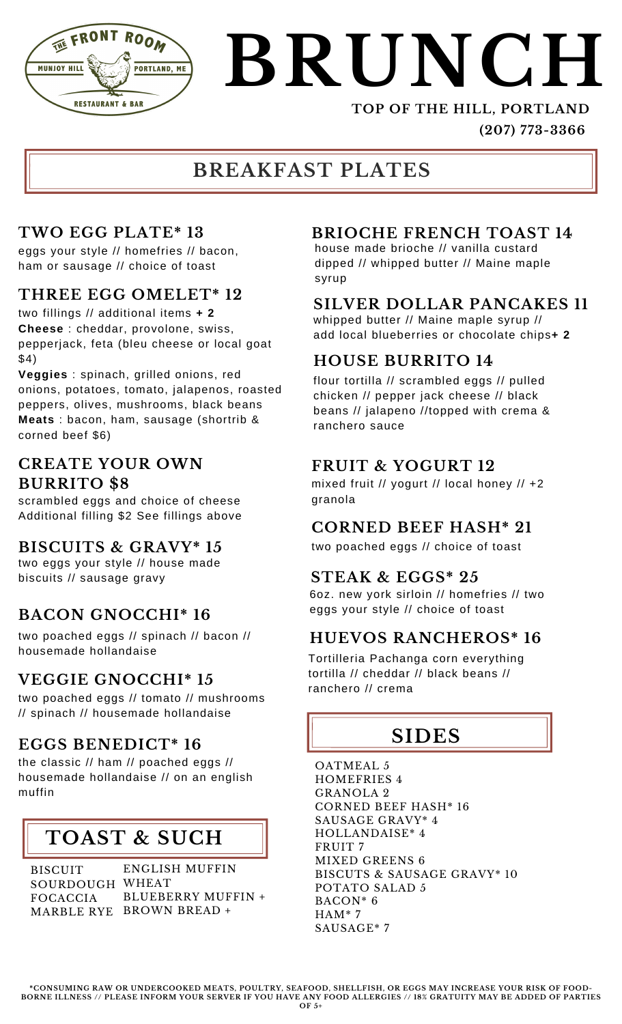

# **BRUNCH**

#### **TOP OF THE HILL, PORTLAND (207) 773-3366**

#### **BREAKFAST PLATES**

#### **TWO EGG PLATE\* 13**

eggs your style // homefries // bacon, ham or sausage // choice of toast

#### **THREE EGG OMELET\* 12**

two fillings // additional items **+ 2 Cheese** : cheddar, provolone, swiss, pepperjack, feta (bleu cheese or local goat \$4)

**Veggies** : spinach, grilled onions, red onions, potatoes, tomato, jalapenos, roasted peppers, olives, mushrooms, black beans **Meats** : bacon, ham, sausage (shortrib & corned beef \$6)

#### **CREATE YOUR OWN BURRITO \$8**

scrambled eggs and choice of cheese Additional filling \$2 See fillings above

#### **BISCUITS & GRAVY\* 15**

two eggs your style // house made biscuits // sausage gravy **STEAK & EGGS\* 25**

#### **BACON GNOCCHI\* 16**

two poached eggs // spinach // bacon // housemade hollandaise

#### **VEGGIE GNOCCHI\* 15**

two poached eggs // tomato // mushrooms // spinach // housemade hollandaise

#### **EGGS BENEDICT\* 16**

the classic // ham // poached eggs // housemade hollandaise // on an english muffin

#### **TOAST & SUCH**

BISCUIT SOURDOUGH WHEAT FOCACCIA

MARBLE RYE BROWN BREAD **+** ENGLISH MUFFIN BLUEBERRY MUFFIN **+**

#### **BRIOCHE FRENCH TOAST 14**

house made brioche // vanilla custard dipped // whipped butter // Maine maple syrup

#### **SILVER DOLLAR PANCAKES 11**

whipped butter // Maine maple syrup // add local blueberries or chocolate chips**+ 2**

#### **HOUSE BURRITO 14**

flour tortilla // scrambled eggs // pulled chicken // pepper jack cheese // black beans // jalapeno //topped with crema & ranchero sauce

#### **FRUIT & YOGURT 12**

mixed fruit // yogurt // local honey // +2 granola

#### **CORNED BEEF HASH\* 21**

two poached eggs // choice of toast

6oz. new york sirloin // homefries // two eggs your style // choice of toast

#### **HUEVOS RANCHEROS\* 16**

Tortilleria Pachanga corn everything tortilla // cheddar // black beans // ranchero // crema

### **SIDES**

OATMEAL 5 HOMEFRIES 4 GRANOLA 2 CORNED BEEF HASH\* 16 SAUSAGE GRAVY\* 4 HOLLANDAISE\* 4 FRUIT 7 MIXED GREENS 6 BISCUTS & SAUSAGE GRAVY\* 10 POTATO SALAD 5 BACON\* 6 HAM\* 7 SAUSAGE\* 7